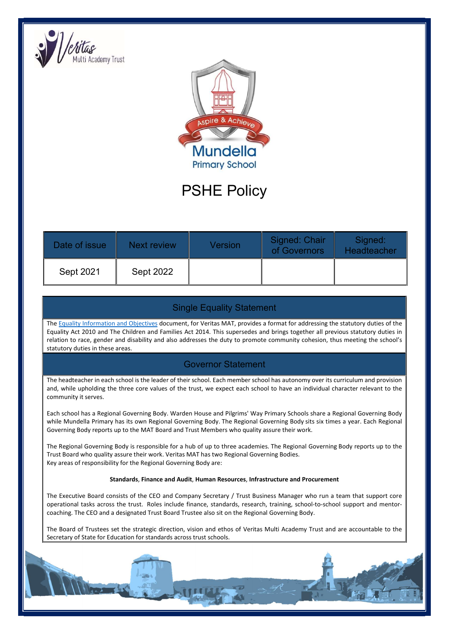



# PSHE Policy

| Date of issue | <b>Next review</b> | Version | Signed: Chair<br>of Governors | Signed:<br>Headteacher |
|---------------|--------------------|---------|-------------------------------|------------------------|
| Sept 2021     | Sept 2022          |         |                               |                        |

## Single Equality Statement

The Equality Information and Objectives document, for Veritas MAT, provides a format for addressing the statutory duties of the Equality Act 2010 and The Children and Families Act 2014. This supersedes and brings together all previous statutory duties in relation to race, gender and disability and also addresses the duty to promote community cohesion, thus meeting the school's statutory duties in these areas.

#### Governor Statement

The headteacher in each school is the leader of their school. Each member school has autonomy over its curriculum and provision and, while upholding the three core values of the trust, we expect each school to have an individual character relevant to the community it serves.

Each school has a Regional Governing Body. Warden House and Pilgrims' Way Primary Schools share a Regional Governing Body while Mundella Primary has its own Regional Governing Body. The Regional Governing Body sits six times a year. Each Regional Governing Body reports up to the MAT Board and Trust Members who quality assure their work.

The Regional Governing Body is responsible for a hub of up to three academies. The Regional Governing Body reports up to the Trust Board who quality assure their work. Veritas MAT has two Regional Governing Bodies. Key areas of responsibility for the Regional Governing Body are:

#### Standards, Finance and Audit, Human Resources, Infrastructure and Procurement

The Executive Board consists of the CEO and Company Secretary / Trust Business Manager who run a team that support core operational tasks across the trust. Roles include finance, standards, research, training, school-to-school support and mentorcoaching. The CEO and a designated Trust Board Trustee also sit on the Regional Governing Body.

The Board of Trustees set the strategic direction, vision and ethos of Veritas Multi Academy Trust and are accountable to the Secretary of State for Education for standards across trust schools.

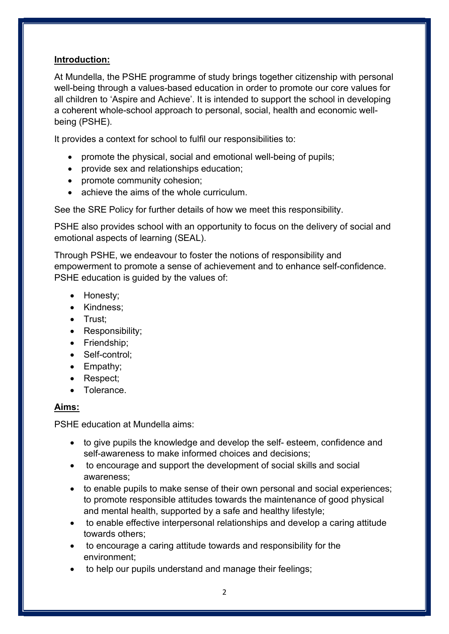## Introduction:

At Mundella, the PSHE programme of study brings together citizenship with personal well-being through a values-based education in order to promote our core values for all children to 'Aspire and Achieve'. It is intended to support the school in developing a coherent whole-school approach to personal, social, health and economic wellbeing (PSHE).

It provides a context for school to fulfil our responsibilities to:

- promote the physical, social and emotional well-being of pupils;
- provide sex and relationships education;
- promote community cohesion;
- achieve the aims of the whole curriculum.

See the SRE Policy for further details of how we meet this responsibility.

PSHE also provides school with an opportunity to focus on the delivery of social and emotional aspects of learning (SEAL).

Through PSHE, we endeavour to foster the notions of responsibility and empowerment to promote a sense of achievement and to enhance self-confidence. PSHE education is guided by the values of:

- Honesty;
- Kindness;
- Trust:
- Responsibility;
- Friendship;
- Self-control:
- Empathy;
- Respect:
- **•** Tolerance

#### Aims:

PSHE education at Mundella aims:

- to give pupils the knowledge and develop the self- esteem, confidence and self-awareness to make informed choices and decisions;
- to encourage and support the development of social skills and social awareness;
- to enable pupils to make sense of their own personal and social experiences; to promote responsible attitudes towards the maintenance of good physical and mental health, supported by a safe and healthy lifestyle;
- to enable effective interpersonal relationships and develop a caring attitude towards others;
- to encourage a caring attitude towards and responsibility for the environment;
- to help our pupils understand and manage their feelings;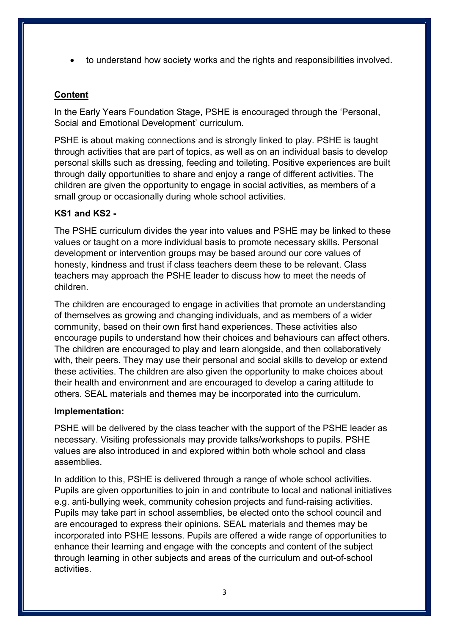to understand how society works and the rights and responsibilities involved.

# **Content**

In the Early Years Foundation Stage, PSHE is encouraged through the 'Personal, Social and Emotional Development' curriculum.

PSHE is about making connections and is strongly linked to play. PSHE is taught through activities that are part of topics, as well as on an individual basis to develop personal skills such as dressing, feeding and toileting. Positive experiences are built through daily opportunities to share and enjoy a range of different activities. The children are given the opportunity to engage in social activities, as members of a small group or occasionally during whole school activities.

# KS1 and KS2 -

The PSHE curriculum divides the year into values and PSHE may be linked to these values or taught on a more individual basis to promote necessary skills. Personal development or intervention groups may be based around our core values of honesty, kindness and trust if class teachers deem these to be relevant. Class teachers may approach the PSHE leader to discuss how to meet the needs of children.

The children are encouraged to engage in activities that promote an understanding of themselves as growing and changing individuals, and as members of a wider community, based on their own first hand experiences. These activities also encourage pupils to understand how their choices and behaviours can affect others. The children are encouraged to play and learn alongside, and then collaboratively with, their peers. They may use their personal and social skills to develop or extend these activities. The children are also given the opportunity to make choices about their health and environment and are encouraged to develop a caring attitude to others. SEAL materials and themes may be incorporated into the curriculum.

#### Implementation:

PSHE will be delivered by the class teacher with the support of the PSHE leader as necessary. Visiting professionals may provide talks/workshops to pupils. PSHE values are also introduced in and explored within both whole school and class assemblies.

In addition to this, PSHE is delivered through a range of whole school activities. Pupils are given opportunities to join in and contribute to local and national initiatives e.g. anti-bullying week, community cohesion projects and fund-raising activities. Pupils may take part in school assemblies, be elected onto the school council and are encouraged to express their opinions. SEAL materials and themes may be incorporated into PSHE lessons. Pupils are offered a wide range of opportunities to enhance their learning and engage with the concepts and content of the subject through learning in other subjects and areas of the curriculum and out-of-school activities.